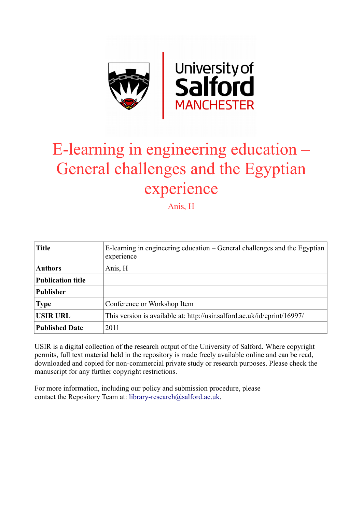

# E-learning in engineering education – General challenges and the Egyptian experience

Anis, H

| <b>Title</b>             | E-learning in engineering education – General challenges and the Egyptian<br>experience |
|--------------------------|-----------------------------------------------------------------------------------------|
| <b>Authors</b>           | Anis, H                                                                                 |
| <b>Publication title</b> |                                                                                         |
| <b>Publisher</b>         |                                                                                         |
| <b>Type</b>              | Conference or Workshop Item                                                             |
| <b>USIR URL</b>          | This version is available at: http://usir.salford.ac.uk/id/eprint/16997/                |
| <b>Published Date</b>    | 2011                                                                                    |

USIR is a digital collection of the research output of the University of Salford. Where copyright permits, full text material held in the repository is made freely available online and can be read, downloaded and copied for non-commercial private study or research purposes. Please check the manuscript for any further copyright restrictions.

For more information, including our policy and submission procedure, please contact the Repository Team at: [library-research@salford.ac.uk.](mailto:library-research@salford.ac.uk)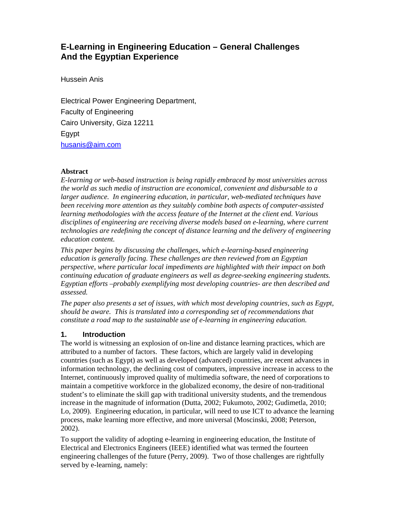## **E-Learning in Engineering Education – General Challenges And the Egyptian Experience**

Hussein Anis

Electrical Power Engineering Department, Faculty of Engineering Cairo University, Giza 12211 Egypt husanis@aim.com

#### **Abstract**

*E-learning or web-based instruction is being rapidly embraced by most universities across the world as such media of instruction are economical, convenient and disbursable to a larger audience. In engineering education, in particular, web-mediated techniques have been receiving more attention as they suitably combine both aspects of computer-assisted learning methodologies with the access feature of the Internet at the client end. Various disciplines of engineering are receiving diverse models based on e-learning, where current technologies are redefining the concept of distance learning and the delivery of engineering education content.* 

*This paper begins by discussing the challenges, which e-learning-based engineering education is generally facing. These challenges are then reviewed from an Egyptian perspective, where particular local impediments are highlighted with their impact on both continuing education of graduate engineers as well as degree-seeking engineering students. Egyptian efforts –probably exemplifying most developing countries- are then described and assessed.* 

*The paper also presents a set of issues, with which most developing countries, such as Egypt, should be aware. This is translated into a corresponding set of recommendations that constitute a road map to the sustainable use of e-learning in engineering education.* 

## **1. Introduction**

The world is witnessing an explosion of on-line and distance learning practices, which are attributed to a number of factors. These factors, which are largely valid in developing countries (such as Egypt) as well as developed (advanced) countries, are recent advances in information technology, the declining cost of computers, impressive increase in access to the Internet, continuously improved quality of multimedia software, the need of corporations to maintain a competitive workforce in the globalized economy, the desire of non-traditional student's to eliminate the skill gap with traditional university students, and the tremendous increase in the magnitude of information (Dutta, 2002; Fukumoto, 2002; Gudimetla, 2010; Lo, 2009). Engineering education, in particular, will need to use ICT to advance the learning process, make learning more effective, and more universal (Moscinski, 2008; Peterson, 2002).

To support the validity of adopting e-learning in engineering education, the Institute of Electrical and Electronics Engineers (IEEE) identified what was termed the fourteen engineering challenges of the future (Perry, 2009). Two of those challenges are rightfully served by e-learning, namely: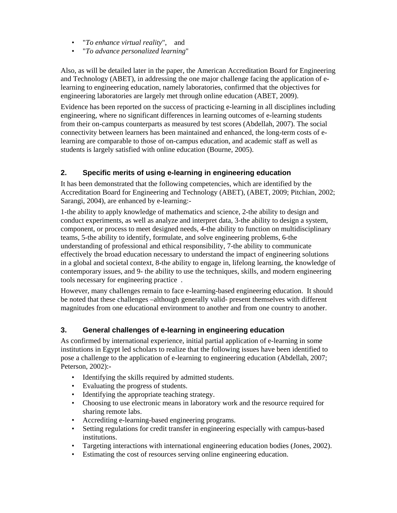- "*To enhance virtual reality*", and
- "*To advance personalized learning*"

Also, as will be detailed later in the paper, the American Accreditation Board for Engineering and Technology (ABET), in addressing the one major challenge facing the application of elearning to engineering education, namely laboratories, confirmed that the objectives for engineering laboratories are largely met through online education (ABET, 2009).

Evidence has been reported on the success of practicing e-learning in all disciplines including engineering, where no significant differences in learning outcomes of e-learning students from their on-campus counterparts as measured by test scores (Abdellah, 2007). The social connectivity between learners has been maintained and enhanced, the long-term costs of elearning are comparable to those of on-campus education, and academic staff as well as students is largely satisfied with online education (Bourne, 2005).

## **2. Specific merits of using e-learning in engineering education**

It has been demonstrated that the following competencies, which are identified by the Accreditation Board for Engineering and Technology (ABET), (ABET, 2009; Pitchian, 2002; Sarangi, 2004), are enhanced by e-learning:-

1-the ability to apply knowledge of mathematics and science, 2-the ability to design and conduct experiments, as well as analyze and interpret data, 3-the ability to design a system, component, or process to meet designed needs, 4-the ability to function on multidisciplinary teams, 5-the ability to identify, formulate, and solve engineering problems, 6-the understanding of professional and ethical responsibility, 7-the ability to communicate effectively the broad education necessary to understand the impact of engineering solutions in a global and societal context, 8-the ability to engage in, lifelong learning, the knowledge of contemporary issues, and 9- the ability to use the techniques, skills, and modern engineering tools necessary for engineering practice .

However, many challenges remain to face e-learning-based engineering education. It should be noted that these challenges –although generally valid- present themselves with different magnitudes from one educational environment to another and from one country to another.

## **3. General challenges of e-learning in engineering education**

As confirmed by international experience, initial partial application of e-learning in some institutions in Egypt led scholars to realize that the following issues have been identified to pose a challenge to the application of e-learning to engineering education (Abdellah, 2007; Peterson, 2002):-

- Identifying the skills required by admitted students.
- Evaluating the progress of students.
- Identifying the appropriate teaching strategy.
- Choosing to use electronic means in laboratory work and the resource required for sharing remote labs.
- Accrediting e-learning-based engineering programs.
- Setting regulations for credit transfer in engineering especially with campus-based institutions.
- Targeting interactions with international engineering education bodies (Jones, 2002).
- Estimating the cost of resources serving online engineering education.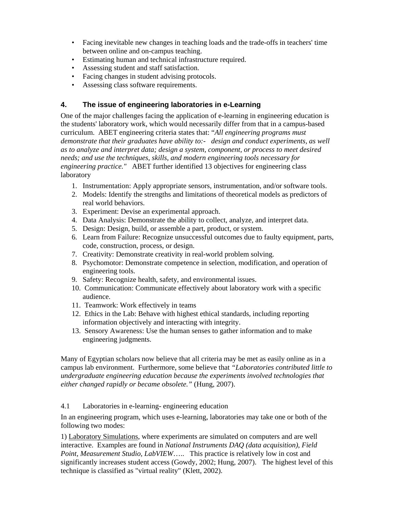- Facing inevitable new changes in teaching loads and the trade-offs in teachers' time between online and on-campus teaching.
- Estimating human and technical infrastructure required.
- Assessing student and staff satisfaction.
- Facing changes in student advising protocols.
- Assessing class software requirements.

### **4. The issue of engineering laboratories in e-Learning**

One of the major challenges facing the application of e-learning in engineering education is the students' laboratory work, which would necessarily differ from that in a campus-based curriculum. ABET engineering criteria states that: "*All engineering programs must demonstrate that their graduates have ability to:- design and conduct experiments, as well as to analyze and interpret data; design a system, component, or process to meet desired needs; and use the techniques, skills, and modern engineering tools necessary for engineering practice."* ABET further identified 13 objectives for engineering class laboratory

- 1. Instrumentation: Apply appropriate sensors, instrumentation, and/or software tools.
- 2. Models: Identify the strengths and limitations of theoretical models as predictors of real world behaviors.
- 3. Experiment: Devise an experimental approach.
- 4. Data Analysis: Demonstrate the ability to collect, analyze, and interpret data.
- 5. Design: Design, build, or assemble a part, product, or system.
- 6. Learn from Failure: Recognize unsuccessful outcomes due to faulty equipment, parts, code, construction, process, or design.
- 7. Creativity: Demonstrate creativity in real-world problem solving.
- 8. Psychomotor: Demonstrate competence in selection, modification, and operation of engineering tools.
- 9. Safety: Recognize health, safety, and environmental issues.
- 10. Communication: Communicate effectively about laboratory work with a specific audience.
- 11. Teamwork: Work effectively in teams
- 12. Ethics in the Lab: Behave with highest ethical standards, including reporting information objectively and interacting with integrity.
- 13. Sensory Awareness: Use the human senses to gather information and to make engineering judgments.

Many of Egyptian scholars now believe that all criteria may be met as easily online as in a campus lab environment. Furthermore, some believe that *"Laboratories contributed little to undergraduate engineering education because the experiments involved technologies that either changed rapidly or became obsolete."* (Hung, 2007).

#### 4.1 Laboratories in e-learning- engineering education

In an engineering program, which uses e-learning, laboratories may take one or both of the following two modes:

1) Laboratory Simulations, where experiments are simulated on computers and are well interactive. Examples are found in *National Instruments DAQ (data acquisition), Field Point, Measurement Studio, LabVIEW*….. This practice is relatively low in cost and significantly increases student access (Gowdy, 2002; Hung, 2007). The highest level of this technique is classified as "virtual reality" (Klett, 2002).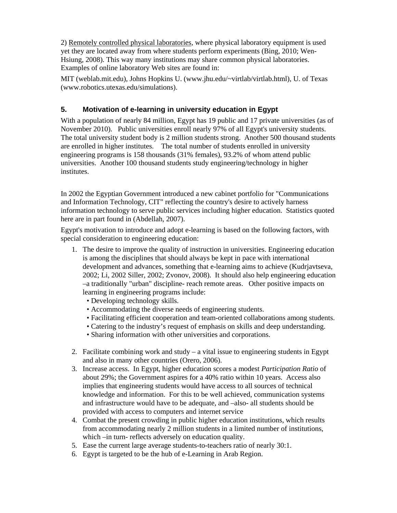2) Remotely controlled physical laboratories, where physical laboratory equipment is used yet they are located away from where students perform experiments (Bing, 2010; Wen-Hsiung, 2008). This way many institutions may share common physical laboratories. Examples of online laboratory Web sites are found in:

MIT (weblab.mit.edu), Johns Hopkins U. (www.jhu.edu/~virtlab/virtlab.html), U. of Texas (www.robotics.utexas.edu/simulations).

## **5. Motivation of e-learning in university education in Egypt**

With a population of nearly 84 million, Egypt has 19 public and 17 private universities (as of November 2010). Public universities enroll nearly 97% of all Egypt's university students. The total university student body is 2 million students strong. Another 500 thousand students are enrolled in higher institutes. The total number of students enrolled in university engineering programs is 158 thousands (31% females), 93.2% of whom attend public universities. Another 100 thousand students study engineering/technology in higher institutes.

In 2002 the Egyptian Government introduced a new cabinet portfolio for "Communications and Information Technology, CIT" reflecting the country's desire to actively harness information technology to serve public services including higher education. Statistics quoted here are in part found in (Abdellah, 2007).

Egypt's motivation to introduce and adopt e-learning is based on the following factors, with special consideration to engineering education:

- 1. The desire to improve the quality of instruction in universities. Engineering education is among the disciplines that should always be kept in pace with international development and advances, something that e-learning aims to achieve (Kudrjavtseva, 2002; Li, 2002 Siller, 2002; Zvonov, 2008). It should also help engineering education –a traditionally "urban" discipline- reach remote areas. Other positive impacts on learning in engineering programs include:
	- Developing technology skills.
	- Accommodating the diverse needs of engineering students.
	- Facilitating efficient cooperation and team-oriented collaborations among students.
	- Catering to the industry's request of emphasis on skills and deep understanding.
	- Sharing information with other universities and corporations.
- 2. Facilitate combining work and study  $-$  a vital issue to engineering students in Egypt and also in many other countries (Orero, 2006).
- 3. Increase access. In Egypt, higher education scores a modest *Participation Ratio* of about 29%; the Government aspires for a 40% ratio within 10 years. Access also implies that engineering students would have access to all sources of technical knowledge and information. For this to be well achieved, communication systems and infrastructure would have to be adequate, and –also- all students should be provided with access to computers and internet service
- 4. Combat the present crowding in public higher education institutions, which results from accommodating nearly 2 million students in a limited number of institutions, which –in turn- reflects adversely on education quality.
- 5. Ease the current large average students-to-teachers ratio of nearly 30:1.
- 6. Egypt is targeted to be the hub of e-Learning in Arab Region.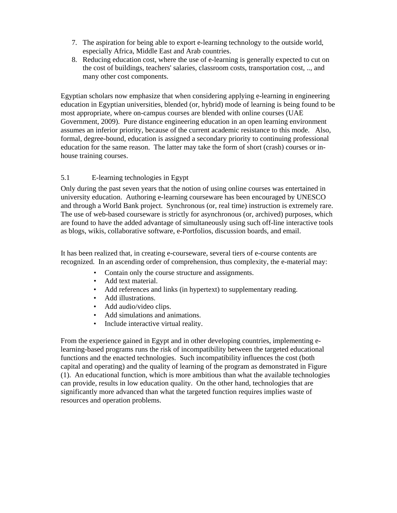- 7. The aspiration for being able to export e-learning technology to the outside world, especially Africa, Middle East and Arab countries.
- 8. Reducing education cost, where the use of e-learning is generally expected to cut on the cost of buildings, teachers' salaries, classroom costs, transportation cost, .., and many other cost components.

Egyptian scholars now emphasize that when considering applying e-learning in engineering education in Egyptian universities, blended (or, hybrid) mode of learning is being found to be most appropriate, where on-campus courses are blended with online courses (UAE Government, 2009). Pure distance engineering education in an open learning environment assumes an inferior priority, because of the current academic resistance to this mode. Also, formal, degree-bound, education is assigned a secondary priority to continuing professional education for the same reason. The latter may take the form of short (crash) courses or inhouse training courses.

#### 5.1E-learning technologies in Egypt

Only during the past seven years that the notion of using online courses was entertained in university education. Authoring e-learning courseware has been encouraged by UNESCO and through a World Bank project. Synchronous (or, real time) instruction is extremely rare. The use of web-based courseware is strictly for asynchronous (or, archived) purposes, which are found to have the added advantage of simultaneously using such off-line interactive tools as blogs, wikis, collaborative software, e-Portfolios, discussion boards, and email.

It has been realized that, in creating e-courseware, several tiers of e-course contents are recognized. In an ascending order of comprehension, thus complexity, the e-material may:

- Contain only the course structure and assignments.
- Add text material.
- Add references and links (in hypertext) to supplementary reading.
- Add illustrations.
- Add audio/video clips.
- Add simulations and animations.
- Include interactive virtual reality.

From the experience gained in Egypt and in other developing countries, implementing elearning-based programs runs the risk of incompatibility between the targeted educational functions and the enacted technologies. Such incompatibility influences the cost (both capital and operating) and the quality of learning of the program as demonstrated in Figure (1). An educational function, which is more ambitious than what the available technologies can provide, results in low education quality. On the other hand, technologies that are significantly more advanced than what the targeted function requires implies waste of resources and operation problems.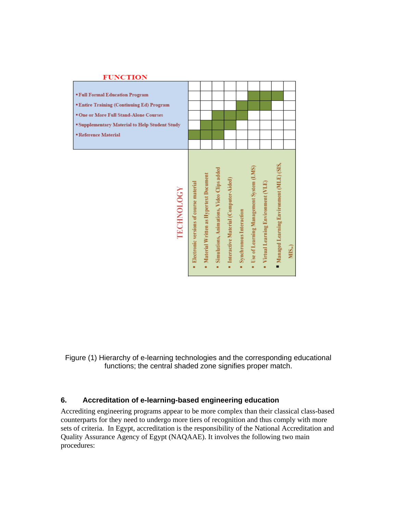| <b>FUNCTION</b>                                           |                                          |                                        |                                            |                                            |                         |                                              |                                      |                                          |                  |
|-----------------------------------------------------------|------------------------------------------|----------------------------------------|--------------------------------------------|--------------------------------------------|-------------------------|----------------------------------------------|--------------------------------------|------------------------------------------|------------------|
|                                                           |                                          |                                        |                                            |                                            |                         |                                              |                                      |                                          |                  |
| <b>* Full Formal Education Program</b>                    |                                          |                                        |                                            |                                            |                         |                                              |                                      |                                          |                  |
| <b>*Entire Training (Continuing Ed) Program</b>           |                                          |                                        |                                            |                                            |                         |                                              |                                      |                                          |                  |
| <sup>•</sup> One or More Full Stand-Alone Courses         |                                          |                                        |                                            |                                            |                         |                                              |                                      |                                          |                  |
| <sup>■</sup> Supplementary Material to Help Student Study |                                          |                                        |                                            |                                            |                         |                                              |                                      |                                          |                  |
| <b>Exeference Material</b>                                |                                          |                                        |                                            |                                            |                         |                                              |                                      |                                          |                  |
|                                                           |                                          |                                        |                                            |                                            |                         |                                              |                                      |                                          |                  |
|                                                           |                                          |                                        |                                            |                                            |                         |                                              |                                      |                                          |                  |
| <b>TECHNOLOGY</b>                                         | · Electronic versions of course material | Material Written as Hypertext Document | Simulations, Animations, Video Clips added | Interactive Material (Computer-Aided)<br>ä | Synchronous Interaction | Use of Learning Management System (LMS)<br>ä | • Virtual Learning Environment (VLE) | Managed Learning Environment (MLE) (SIS, | MIS <sub>1</sub> |

Figure (1) Hierarchy of e-learning technologies and the corresponding educational functions; the central shaded zone signifies proper match.

#### **6. Accreditation of e-learning-based engineering education**

Accrediting engineering programs appear to be more complex than their classical class-based counterparts for they need to undergo more tiers of recognition and thus comply with more sets of criteria. In Egypt, accreditation is the responsibility of the National Accreditation and Quality Assurance Agency of Egypt (NAQAAE). It involves the following two main procedures: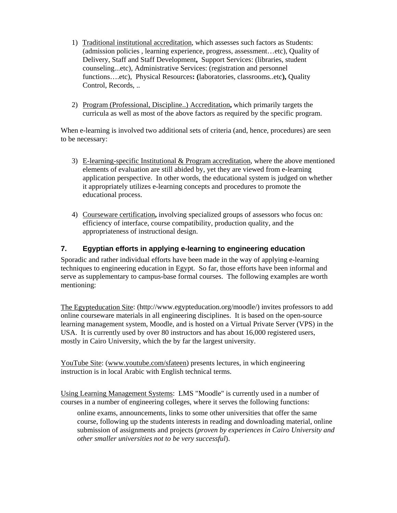- 1) Traditional institutional accreditation, which assesses such factors as Students: (admission policies , learning experience, progress, assessment…etc), Quality of Delivery, Staff and Staff Development**,** Support Services: (libraries, student counseling...etc), Administrative Services: (registration and personnel functions….etc), Physical Resources**: (**laboratories, classrooms..etc**),** Quality Control, Records, ..
- 2) Program (Professional, Discipline..) Accreditation**,** which primarily targets the curricula as well as most of the above factors as required by the specific program.

When e-learning is involved two additional sets of criteria (and, hence, procedures) are seen to be necessary:

- 3) E-learning-specific Institutional & Program accreditation, where the above mentioned elements of evaluation are still abided by, yet they are viewed from e-learning application perspective. In other words, the educational system is judged on whether it appropriately utilizes e-learning concepts and procedures to promote the educational process.
- 4) Courseware certification**,** involving specialized groups of assessors who focus on: efficiency of interface, course compatibility, production quality, and the appropriateness of instructional design.

## **7. Egyptian efforts in applying e-learning to engineering education**

Sporadic and rather individual efforts have been made in the way of applying e-learning techniques to engineering education in Egypt. So far, those efforts have been informal and serve as supplementary to campus-base formal courses. The following examples are worth mentioning:

The Egypteducation Site: (http://www.egypteducation.org/moodle/) invites professors to add online courseware materials in all engineering disciplines. It is based on the open-source learning management system, Moodle, and is hosted on a Virtual Private Server (VPS) in the USA. It is currently used by over 80 instructors and has about 16,000 registered users, mostly in Cairo University, which the by far the largest university.

YouTube Site: (www.youtube.com/sfateen) presents lectures, in which engineering instruction is in local Arabic with English technical terms.

Using Learning Management Systems: LMS "Moodle" is currently used in a number of courses in a number of engineering colleges, where it serves the following functions:

online exams, announcements, links to some other universities that offer the same course, following up the students interests in reading and downloading material, online submission of assignments and projects (*proven by experiences in Cairo University and other smaller universities not to be very successful*).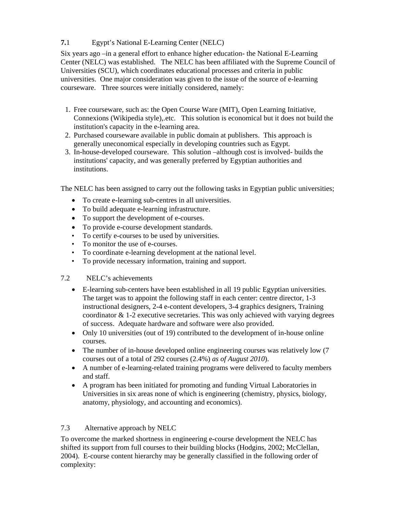## **7.**1 Egypt's National E-Learning Center (NELC)

Six years ago –in a general effort to enhance higher education- the National E-Learning Center (NELC) was established. The NELC has been affiliated with the Supreme Council of Universities (SCU), which coordinates educational processes and criteria in public universities. One major consideration was given to the issue of the source of e-learning courseware. Three sources were initially considered, namely:

- 1. Free courseware, such as: the Open Course Ware (MIT), Open Learning Initiative, Connexions (Wikipedia style),.etc. This solution is economical but it does not build the institution's capacity in the e-learning area.
- 2. Purchased courseware available in public domain at publishers. This approach is generally uneconomical especially in developing countries such as Egypt.
- 3. In-house-developed courseware. This solution –although cost is involved- builds the institutions' capacity, and was generally preferred by Egyptian authorities and institutions.

The NELC has been assigned to carry out the following tasks in Egyptian public universities;

- To create e-learning sub-centres in all universities.
- To build adequate e-learning infrastructure.
- To support the development of e-courses.
- To provide e-course development standards.
- To certify e-courses to be used by universities.
- To monitor the use of e-courses.
- To coordinate e-learning development at the national level.
- To provide necessary information, training and support.
- 7.2 NELC's achievements
	- E-learning sub-centers have been established in all 19 public Egyptian universities. The target was to appoint the following staff in each center: centre director, 1-3 instructional designers, 2-4 e-content developers, 3-4 graphics designers, Training coordinator  $\&$  1-2 executive secretaries. This was only achieved with varying degrees of success. Adequate hardware and software were also provided.
	- Only 10 universities (out of 19) contributed to the development of in-house online courses.
	- The number of in-house developed online engineering courses was relatively low (7) courses out of a total of 292 courses (2.4%) *as of August 2010*).
	- A number of e-learning-related training programs were delivered to faculty members and staff.
	- A program has been initiated for promoting and funding Virtual Laboratories in Universities in six areas none of which is engineering (chemistry, physics, biology, anatomy, physiology, and accounting and economics).

## 7.3 Alternative approach by NELC

To overcome the marked shortness in engineering e-course development the NELC has shifted its support from full courses to their building blocks (Hodgins, 2002; McClellan, 2004). E-course content hierarchy may be generally classified in the following order of complexity: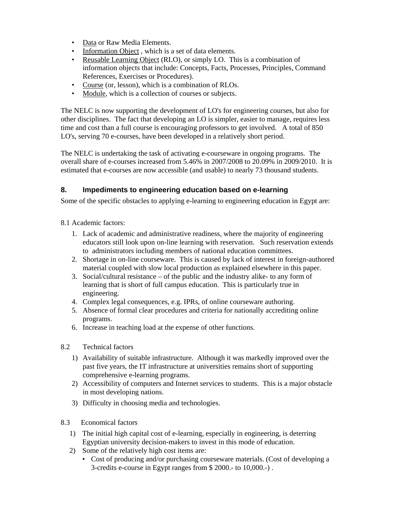- Data or Raw Media Elements.
- Information Object, which is a set of data elements.
- Reusable Learning Object (RLO), or simply LO. This is a combination of information objects that include: Concepts, Facts, Processes, Principles, Command References, Exercises or Procedures).
- Course (or, lesson), which is a combination of RLOs.
- Module, which is a collection of courses or subjects.

The NELC is now supporting the development of LO's for engineering courses, but also for other disciplines. The fact that developing an LO is simpler, easier to manage, requires less time and cost than a full course is encouraging professors to get involved. A total of 850 LO's, serving 70 e-courses, have been developed in a relatively short period.

The NELC is undertaking the task of activating e-courseware in ongoing programs. The overall share of e-courses increased from 5.46% in 2007/2008 to 20.09% in 2009/2010. It is estimated that e-courses are now accessible (and usable) to nearly 73 thousand students.

## **8. Impediments to engineering education based on e-learning**

Some of the specific obstacles to applying e-learning to engineering education in Egypt are:

- 8.1 Academic factors:
	- 1. Lack of academic and administrative readiness, where the majority of engineering educators still look upon on-line learning with reservation. Such reservation extends to administrators including members of national education committees.
	- 2. Shortage in on-line courseware. This is caused by lack of interest in foreign-authored material coupled with slow local production as explained elsewhere in this paper.
	- 3. Social/cultural resistance of the public and the industry alike- to any form of learning that is short of full campus education. This is particularly true in engineering.
	- 4. Complex legal consequences, e.g. IPRs, of online courseware authoring.
	- 5. Absence of formal clear procedures and criteria for nationally accrediting online programs.
	- 6. Increase in teaching load at the expense of other functions.
- 8.2 Technical factors
	- 1) Availability of suitable infrastructure. Although it was markedly improved over the past five years, the IT infrastructure at universities remains short of supporting comprehensive e-learning programs.
	- 2) Accessibility of computers and Internet services to students. This is a major obstacle in most developing nations.
	- 3) Difficulty in choosing media and technologies.
- 8.3 Economical factors
	- 1) The initial high capital cost of e-learning, especially in engineering, is deterring Egyptian university decision-makers to invest in this mode of education.
	- 2) Some of the relatively high cost items are:
		- Cost of producing and/or purchasing courseware materials. (Cost of developing a 3-credits e-course in Egypt ranges from \$ 2000.- to 10,000.-) .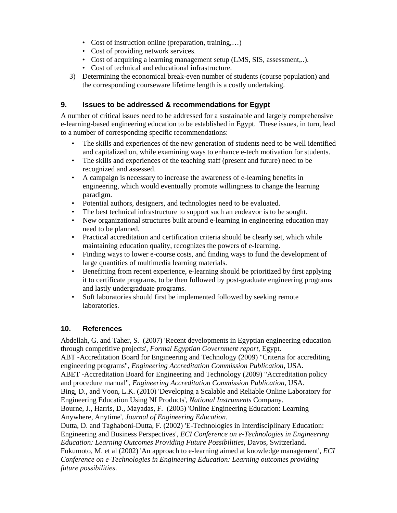- Cost of instruction online (preparation, training,...)
- Cost of providing network services.
- Cost of acquiring a learning management setup (LMS, SIS, assessment...).
- Cost of technical and educational infrastructure.
- 3) Determining the economical break-even number of students (course population) and the corresponding courseware lifetime length is a costly undertaking.

## **9. Issues to be addressed & recommendations for Egypt**

A number of critical issues need to be addressed for a sustainable and largely comprehensive e-learning-based engineering education to be established in Egypt. These issues, in turn, lead to a number of corresponding specific recommendations:

- The skills and experiences of the new generation of students need to be well identified and capitalized on, while examining ways to enhance e-tech motivation for students.
- The skills and experiences of the teaching staff (present and future) need to be recognized and assessed.
- A campaign is necessary to increase the awareness of e-learning benefits in engineering, which would eventually promote willingness to change the learning paradigm.
- Potential authors, designers, and technologies need to be evaluated.
- The best technical infrastructure to support such an endeavor is to be sought.
- New organizational structures built around e-learning in engineering education may need to be planned.
- Practical accreditation and certification criteria should be clearly set, which while maintaining education quality, recognizes the powers of e-learning.
- Finding ways to lower e-course costs, and finding ways to fund the development of large quantities of multimedia learning materials.
- Benefitting from recent experience, e-learning should be prioritized by first applying it to certificate programs, to be then followed by post-graduate engineering programs and lastly undergraduate programs.
- Soft laboratories should first be implemented followed by seeking remote laboratories.

## **10. References**

Abdellah, G. and Taher, S. (2007) 'Recent developments in Egyptian engineering education through competitive projects'*, Formal Egyptian Government report*, Egypt.

ABT -Accreditation Board for Engineering and Technology (2009) "Criteria for accrediting engineering programs", *Engineering Accreditation Commission Publication*, USA.

ABET -Accreditation Board for Engineering and Technology (2009) "Accreditation policy and procedure manual", *Engineering Accreditation Commission Publication*, USA.

Bing, D., and Voon, L.K. (2010) 'Developing a Scalable and Reliable Online Laboratory for Engineering Education Using NI Products', *National Instruments* Company.

Bourne, J., Harris, D., Mayadas, F. (2005) 'Online Engineering Education: Learning Anywhere, Anytime', *Journal of Engineering Education*.

Dutta, D. and Taghaboni-Dutta, F. (2002) 'E-Technologies in Interdisciplinary Education: Engineering and Business Perspectives', *ECI Conference on e-Technologies in Engineering Education: Learning Outcomes Providing Future Possibilities*, Davos, Switzerland. Fukumoto, M. et al (2002) 'An approach to e-learning aimed at knowledge management', *ECI Conference on e-Technologies in Engineering Education: Learning outcomes providing future possibilities*.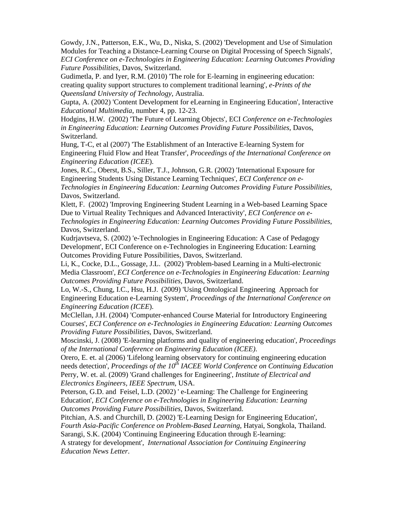Gowdy, J.N., Patterson, E.K., Wu, D., Niska, S. (2002) 'Development and Use of Simulation Modules for Teaching a Distance-Learning Course on Digital Processing of Speech Signals', *ECI Conference on e-Technologies in Engineering Education: Learning Outcomes Providing Future Possibilities,* Davos, Switzerland.

Gudimetla, P. and Iyer, R.M. (2010) 'The role for E-learning in engineering education: creating quality support structures to complement traditional learning', *e-Prints of the Queensland University of Technology*, Australia.

Gupta, A. (2002) 'Content Development for eLearning in Engineering Education', Interactive *Educational Multimedia*, number 4, pp. 12-23.

Hodgins, H.W. (2002) 'The Future of Learning Objects', ECI *Conference on e-Technologies in Engineering Education: Learning Outcomes Providing Future Possibilities*, Davos, Switzerland.

Hung, T-C, et al (2007) 'The Establishment of an Interactive E-learning System for Engineering Fluid Flow and Heat Transfer', *Proceedings of the International Conference on Engineering Education (ICEE*).

Jones, R.C., Oberst, B.S., Siller, T.J., Johnson, G.R. (2002) 'International Exposure for Engineering Students Using Distance Learning Techniques', *ECI Conference on e-Technologies in Engineering Education: Learning Outcomes Providing Future Possibilities*, Davos, Switzerland.

Klett, F. (2002) 'Improving Engineering Student Learning in a Web-based Learning Space Due to Virtual Reality Techniques and Advanced Interactivity', *ECI Conference on e-Technologies in Engineering Education: Learning Outcomes Providing Future Possibilities*, Davos, Switzerland.

Kudrjavtseva, S. (2002) 'e-Technologies in Engineering Education: A Case of Pedagogy Development', ECI Conference on e-Technologies in Engineering Education: Learning Outcomes Providing Future Possibilities, Davos, Switzerland.

Li, K., Cocke, D.L., Gossage, J.L. (2002) 'Problem-based Learning in a Multi-electronic Media Classroom', *ECI Conference on e-Technologies in Engineering Education: Learning Outcomes Providing Future Possibilities*, Davos, Switzerland.

Lo, W.-S., Chung, I.C., Hsu, H.J. (2009) 'Using Ontological Engineering Approach for Engineering Education e-Learning System', *Proceedings of the International Conference on Engineering Education (ICEE*).

McClellan, J.H. (2004) 'Computer-enhanced Course Material for Introductory Engineering Courses', *ECI Conference on e-Technologies in Engineering Education: Learning Outcomes Providing Future Possibilities*, Davos, Switzerland.

Moscinski, J. (2008) 'E-learning platforms and quality of engineering education', *Proceedings of the International Conference on Engineering Education (ICEE)*.

Orero, E. et. al (2006) 'Lifelong learning observatory for continuing engineering education needs detection', *Proceedings of the 10<sup>th</sup> IACEE World Conference on Continuing Education* Perry, W. et. al. (2009) 'Grand challenges for Engineering', *Institute of Electrical and Electronics Engineers, IEEE Spectrum*, USA.

Peterson, G.D. and Feisel, L.D. (2002) ' e-Learning: The Challenge for Engineering Education', *ECI Conference on e-Technologies in Engineering Education: Learning Outcomes Providing Future Possibilities*, Davos, Switzerland.

Pitchian, A.S. and Churchill, D. (2002) 'E-Learning Design for Engineering Education', *Fourth Asia-Pacific Conference on Problem-Based Learning*, Hatyai, Songkola, Thailand. Sarangi, S.K. (2004) 'Continuing Engineering Education through E-learning:

A strategy for development', *International Association for Continuing Engineering Education News Letter*.